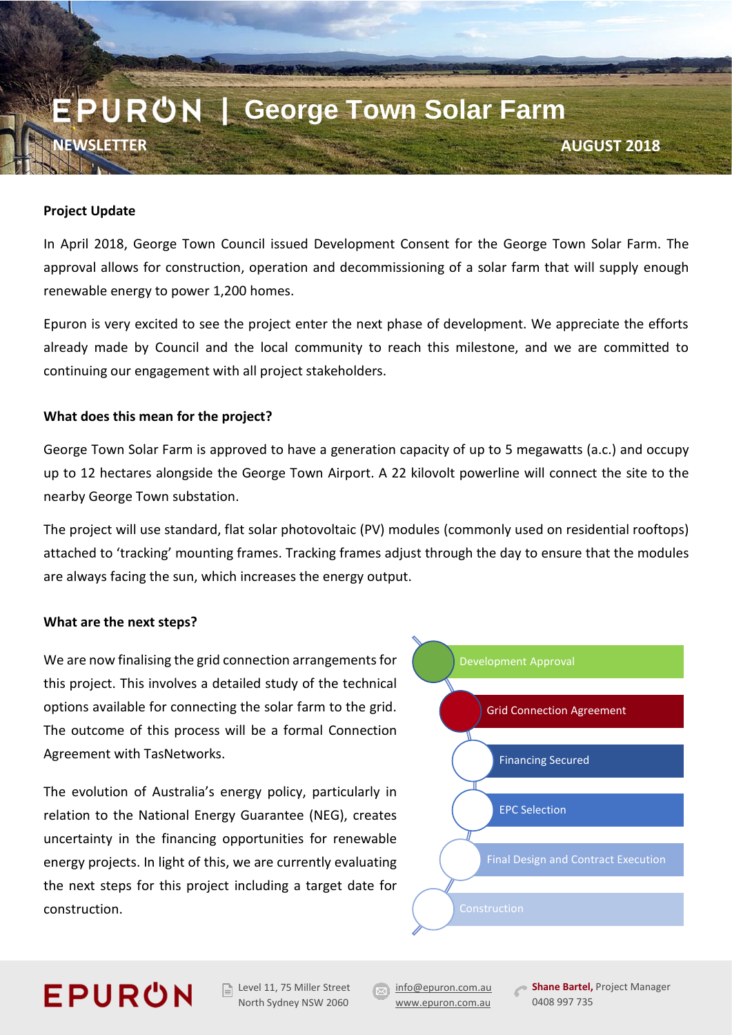# EPUR**ひN** | George Town Solar Farm **NEWSLETTER AUGUST 2018**

### **Project Update**

In April 2018, George Town Council issued Development Consent for the George Town Solar Farm. The approval allows for construction, operation and decommissioning of a solar farm that will supply enough renewable energy to power 1,200 homes.

Epuron is very excited to see the project enter the next phase of development. We appreciate the efforts already made by Council and the local community to reach this milestone, and we are committed to continuing our engagement with all project stakeholders.

### **What does this mean for the project?**

George Town Solar Farm is approved to have a generation capacity of up to 5 megawatts (a.c.) and occupy up to 12 hectares alongside the George Town Airport. A 22 kilovolt powerline will connect the site to the nearby George Town substation.

The project will use standard, flat solar photovoltaic (PV) modules (commonly used on residential rooftops) attached to 'tracking' mounting frames. Tracking frames adjust through the day to ensure that the modules are always facing the sun, which increases the energy output.

#### **What are the next steps?**

We are now finalising the grid connection arrangements for this project. This involves a detailed study of the technical options available for connecting the solar farm to the grid. The outcome of this process will be a formal Connection Agreement with TasNetworks.

The evolution of Australia's energy policy, particularly in relation to the National Energy Guarantee (NEG), creates uncertainty in the financing opportunities for renewable energy projects. In light of this, we are currently evaluating the next steps for this project including a target date for construction.



### **EPURON**

 $\Box$  Level 11, 75 Miller Street North Sydney NSW 2060

**[info@epuron.com.au](mailto:info@epuron.com.au)** [www.epuron.com.au](http://www.epuron.com.au/)

**Shane Bartel, Project Manager** 0408 997 735